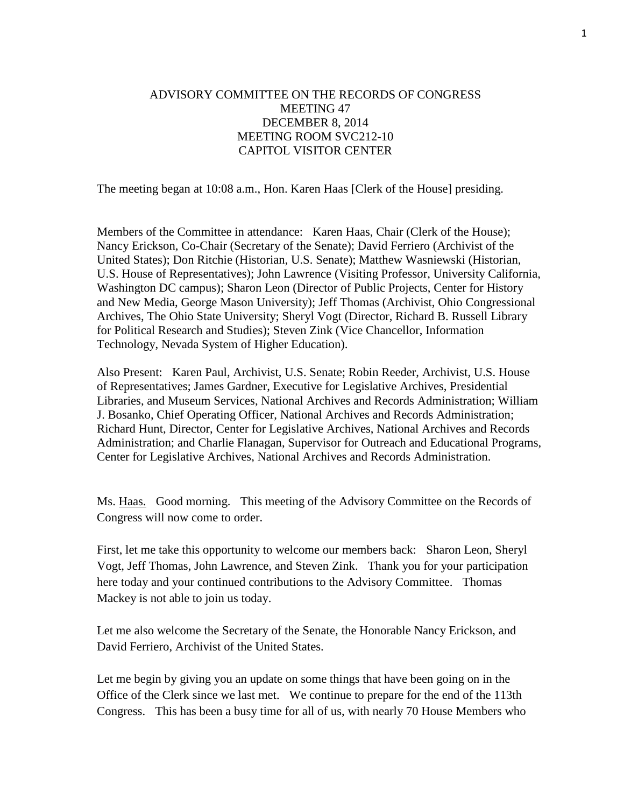## ADVISORY COMMITTEE ON THE RECORDS OF CONGRESS MEETING 47 DECEMBER 8, 2014 MEETING ROOM SVC212-10 CAPITOL VISITOR CENTER

The meeting began at 10:08 a.m., Hon. Karen Haas [Clerk of the House] presiding.

Members of the Committee in attendance: Karen Haas, Chair (Clerk of the House); Nancy Erickson, Co-Chair (Secretary of the Senate); David Ferriero (Archivist of the United States); Don Ritchie (Historian, U.S. Senate); Matthew Wasniewski (Historian, U.S. House of Representatives); John Lawrence (Visiting Professor, University California, Washington DC campus); Sharon Leon (Director of Public Projects, Center for History and New Media, George Mason University); Jeff Thomas (Archivist, Ohio Congressional Archives, The Ohio State University; Sheryl Vogt (Director, Richard B. Russell Library for Political Research and Studies); Steven Zink (Vice Chancellor, Information Technology, Nevada System of Higher Education).

Also Present: Karen Paul, Archivist, U.S. Senate; Robin Reeder, Archivist, U.S. House of Representatives; James Gardner, Executive for Legislative Archives, Presidential Libraries, and Museum Services, National Archives and Records Administration; William J. Bosanko, Chief Operating Officer, National Archives and Records Administration; Richard Hunt, Director, Center for Legislative Archives, National Archives and Records Administration; and Charlie Flanagan, Supervisor for Outreach and Educational Programs, Center for Legislative Archives, National Archives and Records Administration.

Ms. Haas. Good morning. This meeting of the Advisory Committee on the Records of Congress will now come to order.

First, let me take this opportunity to welcome our members back: Sharon Leon, Sheryl Vogt, Jeff Thomas, John Lawrence, and Steven Zink. Thank you for your participation here today and your continued contributions to the Advisory Committee. Thomas Mackey is not able to join us today.

Let me also welcome the Secretary of the Senate, the Honorable Nancy Erickson, and David Ferriero, Archivist of the United States.

Let me begin by giving you an update on some things that have been going on in the Office of the Clerk since we last met. We continue to prepare for the end of the 113th Congress. This has been a busy time for all of us, with nearly 70 House Members who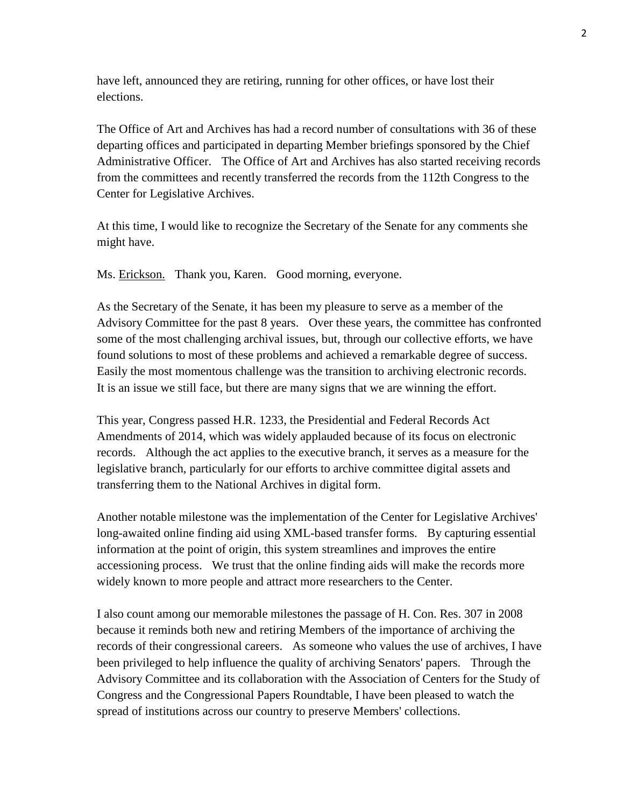have left, announced they are retiring, running for other offices, or have lost their elections.

The Office of Art and Archives has had a record number of consultations with 36 of these departing offices and participated in departing Member briefings sponsored by the Chief Administrative Officer. The Office of Art and Archives has also started receiving records from the committees and recently transferred the records from the 112th Congress to the Center for Legislative Archives.

At this time, I would like to recognize the Secretary of the Senate for any comments she might have.

Ms. Erickson. Thank you, Karen. Good morning, everyone.

As the Secretary of the Senate, it has been my pleasure to serve as a member of the Advisory Committee for the past 8 years. Over these years, the committee has confronted some of the most challenging archival issues, but, through our collective efforts, we have found solutions to most of these problems and achieved a remarkable degree of success. Easily the most momentous challenge was the transition to archiving electronic records. It is an issue we still face, but there are many signs that we are winning the effort.

This year, Congress passed H.R. 1233, the Presidential and Federal Records Act Amendments of 2014, which was widely applauded because of its focus on electronic records. Although the act applies to the executive branch, it serves as a measure for the legislative branch, particularly for our efforts to archive committee digital assets and transferring them to the National Archives in digital form.

Another notable milestone was the implementation of the Center for Legislative Archives' long-awaited online finding aid using XML-based transfer forms. By capturing essential information at the point of origin, this system streamlines and improves the entire accessioning process. We trust that the online finding aids will make the records more widely known to more people and attract more researchers to the Center.

I also count among our memorable milestones the passage of H. Con. Res. 307 in 2008 because it reminds both new and retiring Members of the importance of archiving the records of their congressional careers. As someone who values the use of archives, I have been privileged to help influence the quality of archiving Senators' papers. Through the Advisory Committee and its collaboration with the Association of Centers for the Study of Congress and the Congressional Papers Roundtable, I have been pleased to watch the spread of institutions across our country to preserve Members' collections.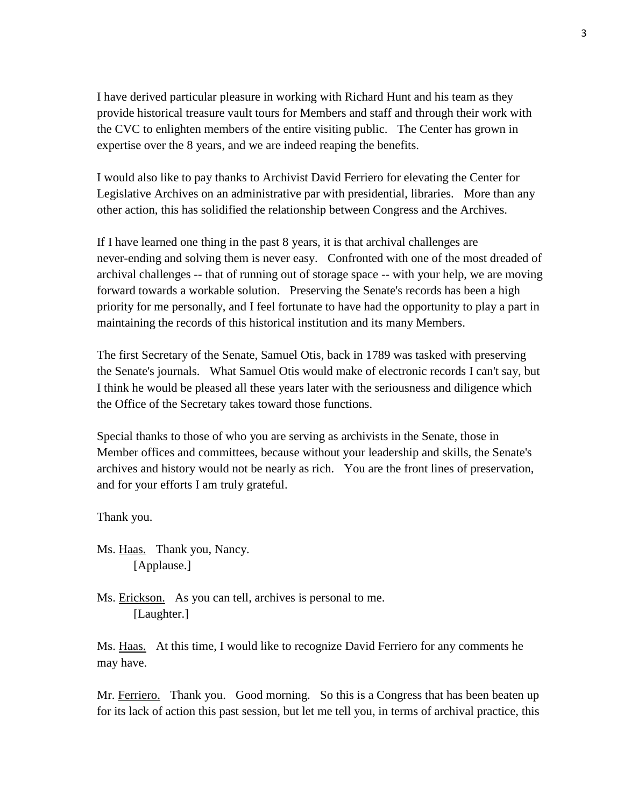I have derived particular pleasure in working with Richard Hunt and his team as they provide historical treasure vault tours for Members and staff and through their work with the CVC to enlighten members of the entire visiting public. The Center has grown in expertise over the 8 years, and we are indeed reaping the benefits.

I would also like to pay thanks to Archivist David Ferriero for elevating the Center for Legislative Archives on an administrative par with presidential, libraries. More than any other action, this has solidified the relationship between Congress and the Archives.

If I have learned one thing in the past 8 years, it is that archival challenges are never-ending and solving them is never easy. Confronted with one of the most dreaded of archival challenges -- that of running out of storage space -- with your help, we are moving forward towards a workable solution. Preserving the Senate's records has been a high priority for me personally, and I feel fortunate to have had the opportunity to play a part in maintaining the records of this historical institution and its many Members.

The first Secretary of the Senate, Samuel Otis, back in 1789 was tasked with preserving the Senate's journals. What Samuel Otis would make of electronic records I can't say, but I think he would be pleased all these years later with the seriousness and diligence which the Office of the Secretary takes toward those functions.

Special thanks to those of who you are serving as archivists in the Senate, those in Member offices and committees, because without your leadership and skills, the Senate's archives and history would not be nearly as rich. You are the front lines of preservation, and for your efforts I am truly grateful.

Thank you.

Ms. Haas. Thank you, Nancy. [Applause.]

Ms. Erickson. As you can tell, archives is personal to me. [Laughter.]

Ms. Haas. At this time, I would like to recognize David Ferriero for any comments he may have.

Mr. Ferriero. Thank you. Good morning. So this is a Congress that has been beaten up for its lack of action this past session, but let me tell you, in terms of archival practice, this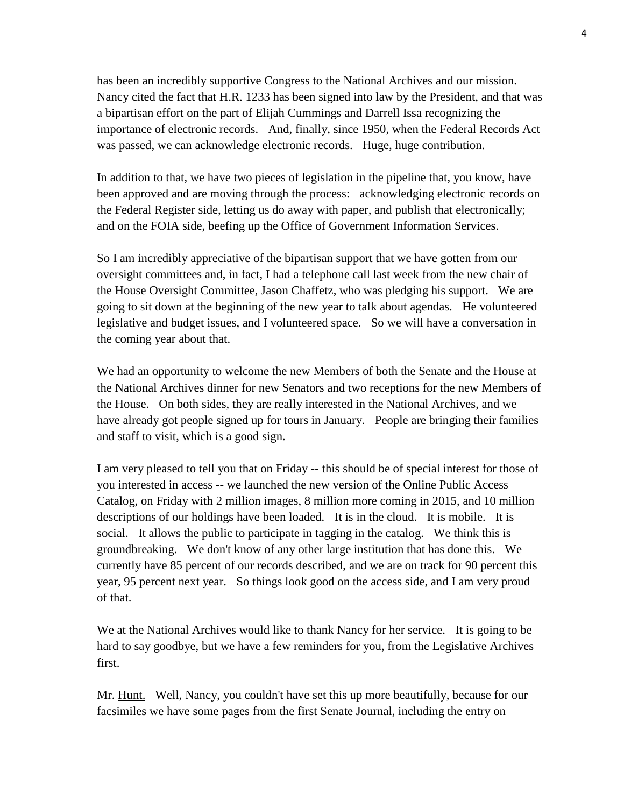has been an incredibly supportive Congress to the National Archives and our mission. Nancy cited the fact that H.R. 1233 has been signed into law by the President, and that was a bipartisan effort on the part of Elijah Cummings and Darrell Issa recognizing the importance of electronic records. And, finally, since 1950, when the Federal Records Act was passed, we can acknowledge electronic records. Huge, huge contribution.

In addition to that, we have two pieces of legislation in the pipeline that, you know, have been approved and are moving through the process: acknowledging electronic records on the Federal Register side, letting us do away with paper, and publish that electronically; and on the FOIA side, beefing up the Office of Government Information Services.

So I am incredibly appreciative of the bipartisan support that we have gotten from our oversight committees and, in fact, I had a telephone call last week from the new chair of the House Oversight Committee, Jason Chaffetz, who was pledging his support. We are going to sit down at the beginning of the new year to talk about agendas. He volunteered legislative and budget issues, and I volunteered space. So we will have a conversation in the coming year about that.

We had an opportunity to welcome the new Members of both the Senate and the House at the National Archives dinner for new Senators and two receptions for the new Members of the House. On both sides, they are really interested in the National Archives, and we have already got people signed up for tours in January. People are bringing their families and staff to visit, which is a good sign.

I am very pleased to tell you that on Friday -- this should be of special interest for those of you interested in access -- we launched the new version of the Online Public Access Catalog, on Friday with 2 million images, 8 million more coming in 2015, and 10 million descriptions of our holdings have been loaded. It is in the cloud. It is mobile. It is social. It allows the public to participate in tagging in the catalog. We think this is groundbreaking. We don't know of any other large institution that has done this. We currently have 85 percent of our records described, and we are on track for 90 percent this year, 95 percent next year. So things look good on the access side, and I am very proud of that.

We at the National Archives would like to thank Nancy for her service. It is going to be hard to say goodbye, but we have a few reminders for you, from the Legislative Archives first.

Mr. Hunt. Well, Nancy, you couldn't have set this up more beautifully, because for our facsimiles we have some pages from the first Senate Journal, including the entry on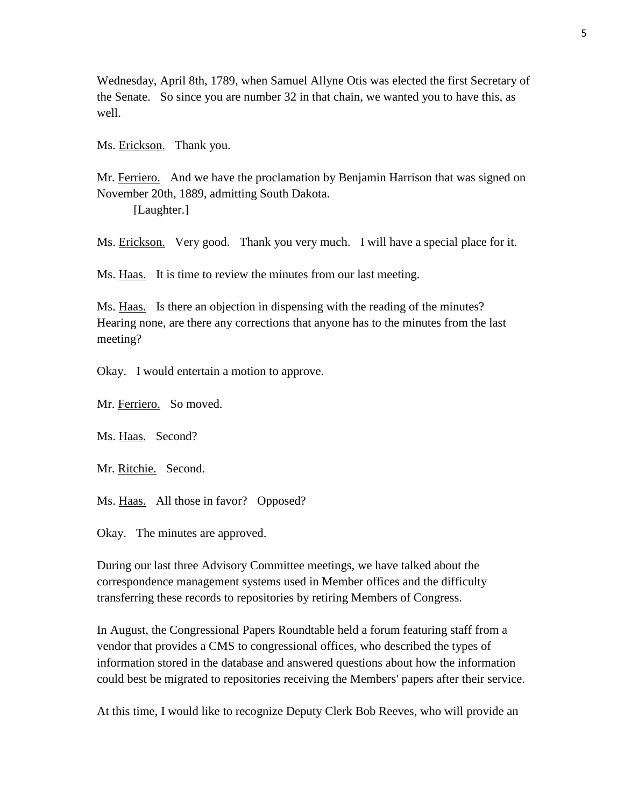Wednesday, April 8th, 1789, when Samuel Allyne Otis was elected the first Secretary of the Senate. So since you are number 32 in that chain, we wanted you to have this, as well.

Ms. Erickson. Thank you.

Mr. Ferriero. And we have the proclamation by Benjamin Harrison that was signed on November 20th, 1889, admitting South Dakota.

[Laughter.]

Ms. Erickson. Very good. Thank you very much. I will have a special place for it.

Ms. Haas. It is time to review the minutes from our last meeting.

Ms. Haas. Is there an objection in dispensing with the reading of the minutes? Hearing none, are there any corrections that anyone has to the minutes from the last meeting?

Okay. I would entertain a motion to approve.

Mr. Ferriero. So moved.

Ms. Haas. Second?

Mr. Ritchie. Second.

Ms. Haas. All those in favor? Opposed?

Okay. The minutes are approved.

During our last three Advisory Committee meetings, we have talked about the correspondence management systems used in Member offices and the difficulty transferring these records to repositories by retiring Members of Congress.

In August, the Congressional Papers Roundtable held a forum featuring staff from a vendor that provides a CMS to congressional offices, who described the types of information stored in the database and answered questions about how the information could best be migrated to repositories receiving the Members' papers after their service.

At this time, I would like to recognize Deputy Clerk Bob Reeves, who will provide an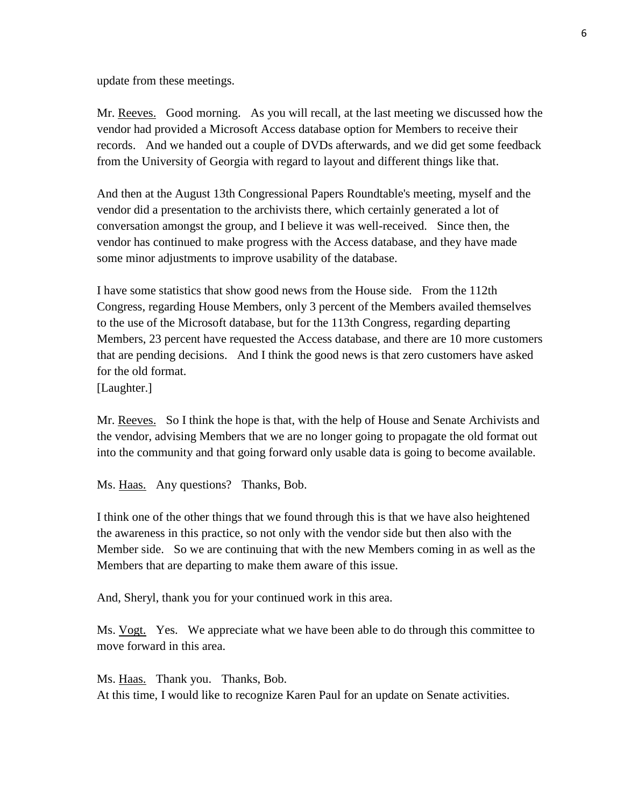update from these meetings.

Mr. Reeves. Good morning. As you will recall, at the last meeting we discussed how the vendor had provided a Microsoft Access database option for Members to receive their records. And we handed out a couple of DVDs afterwards, and we did get some feedback from the University of Georgia with regard to layout and different things like that.

And then at the August 13th Congressional Papers Roundtable's meeting, myself and the vendor did a presentation to the archivists there, which certainly generated a lot of conversation amongst the group, and I believe it was well-received. Since then, the vendor has continued to make progress with the Access database, and they have made some minor adjustments to improve usability of the database.

I have some statistics that show good news from the House side. From the 112th Congress, regarding House Members, only 3 percent of the Members availed themselves to the use of the Microsoft database, but for the 113th Congress, regarding departing Members, 23 percent have requested the Access database, and there are 10 more customers that are pending decisions. And I think the good news is that zero customers have asked for the old format.

[Laughter.]

Mr. Reeves. So I think the hope is that, with the help of House and Senate Archivists and the vendor, advising Members that we are no longer going to propagate the old format out into the community and that going forward only usable data is going to become available.

Ms. Haas. Any questions? Thanks, Bob.

I think one of the other things that we found through this is that we have also heightened the awareness in this practice, so not only with the vendor side but then also with the Member side. So we are continuing that with the new Members coming in as well as the Members that are departing to make them aware of this issue.

And, Sheryl, thank you for your continued work in this area.

Ms. Vogt. Yes. We appreciate what we have been able to do through this committee to move forward in this area.

Ms. Haas. Thank you. Thanks, Bob. At this time, I would like to recognize Karen Paul for an update on Senate activities.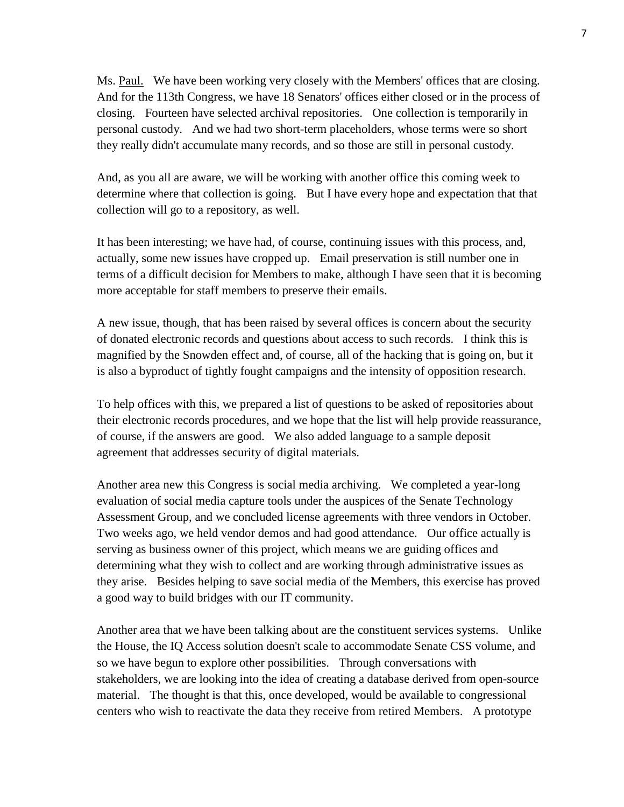Ms. Paul. We have been working very closely with the Members' offices that are closing. And for the 113th Congress, we have 18 Senators' offices either closed or in the process of closing. Fourteen have selected archival repositories. One collection is temporarily in personal custody. And we had two short-term placeholders, whose terms were so short they really didn't accumulate many records, and so those are still in personal custody.

And, as you all are aware, we will be working with another office this coming week to determine where that collection is going. But I have every hope and expectation that that collection will go to a repository, as well.

It has been interesting; we have had, of course, continuing issues with this process, and, actually, some new issues have cropped up. Email preservation is still number one in terms of a difficult decision for Members to make, although I have seen that it is becoming more acceptable for staff members to preserve their emails.

A new issue, though, that has been raised by several offices is concern about the security of donated electronic records and questions about access to such records. I think this is magnified by the Snowden effect and, of course, all of the hacking that is going on, but it is also a byproduct of tightly fought campaigns and the intensity of opposition research.

To help offices with this, we prepared a list of questions to be asked of repositories about their electronic records procedures, and we hope that the list will help provide reassurance, of course, if the answers are good. We also added language to a sample deposit agreement that addresses security of digital materials.

Another area new this Congress is social media archiving. We completed a year-long evaluation of social media capture tools under the auspices of the Senate Technology Assessment Group, and we concluded license agreements with three vendors in October. Two weeks ago, we held vendor demos and had good attendance. Our office actually is serving as business owner of this project, which means we are guiding offices and determining what they wish to collect and are working through administrative issues as they arise. Besides helping to save social media of the Members, this exercise has proved a good way to build bridges with our IT community.

Another area that we have been talking about are the constituent services systems. Unlike the House, the IQ Access solution doesn't scale to accommodate Senate CSS volume, and so we have begun to explore other possibilities. Through conversations with stakeholders, we are looking into the idea of creating a database derived from open-source material. The thought is that this, once developed, would be available to congressional centers who wish to reactivate the data they receive from retired Members. A prototype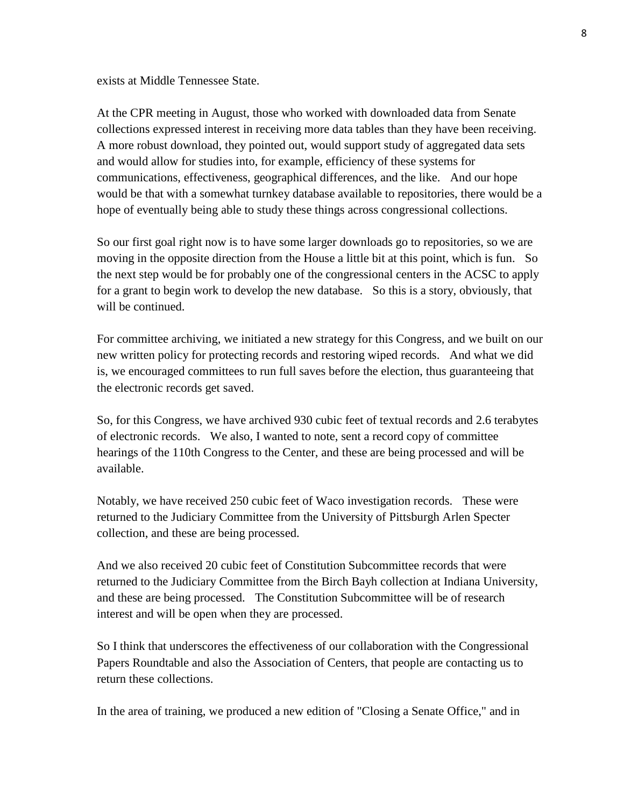exists at Middle Tennessee State.

At the CPR meeting in August, those who worked with downloaded data from Senate collections expressed interest in receiving more data tables than they have been receiving. A more robust download, they pointed out, would support study of aggregated data sets and would allow for studies into, for example, efficiency of these systems for communications, effectiveness, geographical differences, and the like. And our hope would be that with a somewhat turnkey database available to repositories, there would be a hope of eventually being able to study these things across congressional collections.

So our first goal right now is to have some larger downloads go to repositories, so we are moving in the opposite direction from the House a little bit at this point, which is fun. So the next step would be for probably one of the congressional centers in the ACSC to apply for a grant to begin work to develop the new database. So this is a story, obviously, that will be continued.

For committee archiving, we initiated a new strategy for this Congress, and we built on our new written policy for protecting records and restoring wiped records. And what we did is, we encouraged committees to run full saves before the election, thus guaranteeing that the electronic records get saved.

So, for this Congress, we have archived 930 cubic feet of textual records and 2.6 terabytes of electronic records. We also, I wanted to note, sent a record copy of committee hearings of the 110th Congress to the Center, and these are being processed and will be available.

Notably, we have received 250 cubic feet of Waco investigation records. These were returned to the Judiciary Committee from the University of Pittsburgh Arlen Specter collection, and these are being processed.

And we also received 20 cubic feet of Constitution Subcommittee records that were returned to the Judiciary Committee from the Birch Bayh collection at Indiana University, and these are being processed. The Constitution Subcommittee will be of research interest and will be open when they are processed.

So I think that underscores the effectiveness of our collaboration with the Congressional Papers Roundtable and also the Association of Centers, that people are contacting us to return these collections.

In the area of training, we produced a new edition of "Closing a Senate Office," and in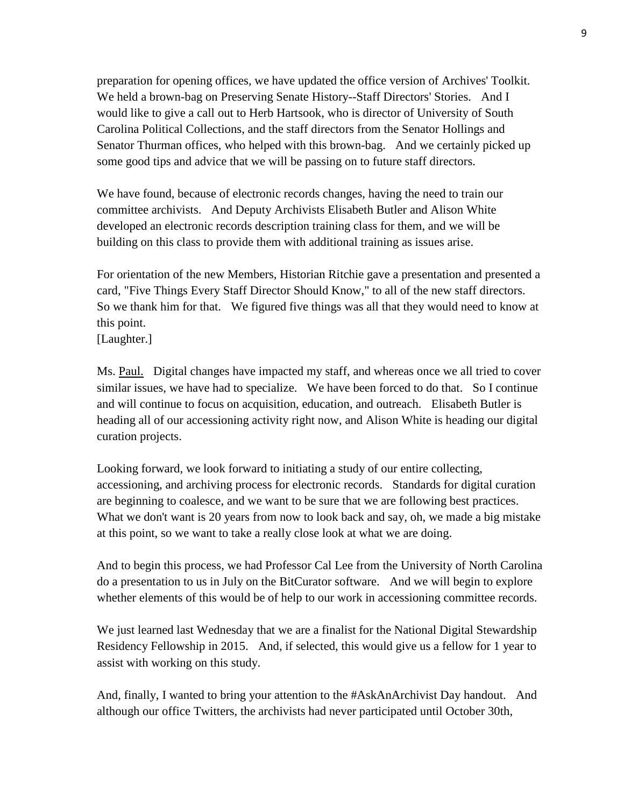preparation for opening offices, we have updated the office version of Archives' Toolkit. We held a brown-bag on Preserving Senate History--Staff Directors' Stories. And I would like to give a call out to Herb Hartsook, who is director of University of South Carolina Political Collections, and the staff directors from the Senator Hollings and Senator Thurman offices, who helped with this brown-bag. And we certainly picked up some good tips and advice that we will be passing on to future staff directors.

We have found, because of electronic records changes, having the need to train our committee archivists. And Deputy Archivists Elisabeth Butler and Alison White developed an electronic records description training class for them, and we will be building on this class to provide them with additional training as issues arise.

For orientation of the new Members, Historian Ritchie gave a presentation and presented a card, "Five Things Every Staff Director Should Know," to all of the new staff directors. So we thank him for that. We figured five things was all that they would need to know at this point.

[Laughter.]

Ms. Paul. Digital changes have impacted my staff, and whereas once we all tried to cover similar issues, we have had to specialize. We have been forced to do that. So I continue and will continue to focus on acquisition, education, and outreach. Elisabeth Butler is heading all of our accessioning activity right now, and Alison White is heading our digital curation projects.

Looking forward, we look forward to initiating a study of our entire collecting, accessioning, and archiving process for electronic records. Standards for digital curation are beginning to coalesce, and we want to be sure that we are following best practices. What we don't want is 20 years from now to look back and say, oh, we made a big mistake at this point, so we want to take a really close look at what we are doing.

And to begin this process, we had Professor Cal Lee from the University of North Carolina do a presentation to us in July on the BitCurator software. And we will begin to explore whether elements of this would be of help to our work in accessioning committee records.

We just learned last Wednesday that we are a finalist for the National Digital Stewardship Residency Fellowship in 2015. And, if selected, this would give us a fellow for 1 year to assist with working on this study.

And, finally, I wanted to bring your attention to the #AskAnArchivist Day handout. And although our office Twitters, the archivists had never participated until October 30th,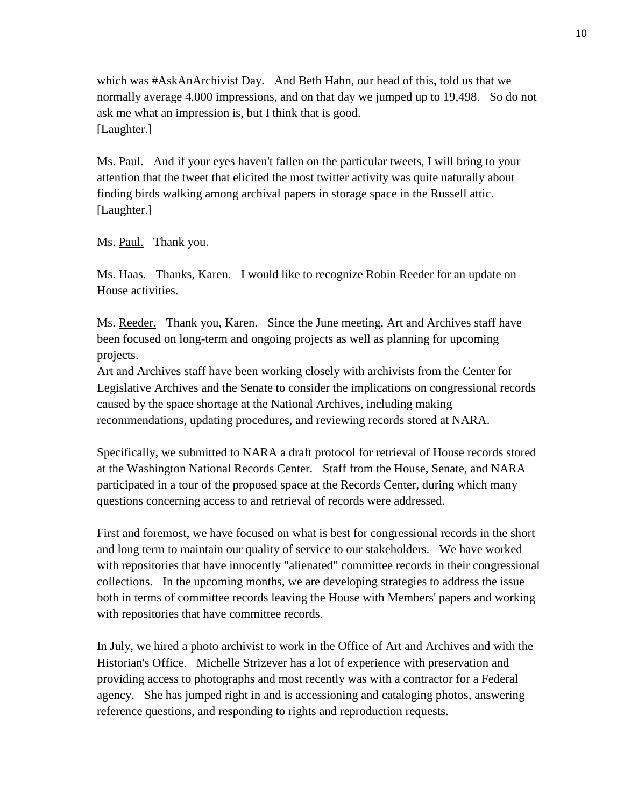which was #AskAnArchivist Day. And Beth Hahn, our head of this, told us that we normally average 4,000 impressions, and on that day we jumped up to 19,498. So do not ask me what an impression is, but I think that is good. [Laughter.]

Ms. Paul. And if your eyes haven't fallen on the particular tweets, I will bring to your attention that the tweet that elicited the most twitter activity was quite naturally about finding birds walking among archival papers in storage space in the Russell attic. [Laughter.]

Ms. Paul. Thank you.

Ms. Haas. Thanks, Karen. I would like to recognize Robin Reeder for an update on House activities.

Ms. Reeder. Thank you, Karen. Since the June meeting, Art and Archives staff have been focused on long-term and ongoing projects as well as planning for upcoming projects.

Art and Archives staff have been working closely with archivists from the Center for Legislative Archives and the Senate to consider the implications on congressional records caused by the space shortage at the National Archives, including making recommendations, updating procedures, and reviewing records stored at NARA.

Specifically, we submitted to NARA a draft protocol for retrieval of House records stored at the Washington National Records Center. Staff from the House, Senate, and NARA participated in a tour of the proposed space at the Records Center, during which many questions concerning access to and retrieval of records were addressed.

First and foremost, we have focused on what is best for congressional records in the short and long term to maintain our quality of service to our stakeholders. We have worked with repositories that have innocently "alienated" committee records in their congressional collections. In the upcoming months, we are developing strategies to address the issue both in terms of committee records leaving the House with Members' papers and working with repositories that have committee records.

In July, we hired a photo archivist to work in the Office of Art and Archives and with the Historian's Office. Michelle Strizever has a lot of experience with preservation and providing access to photographs and most recently was with a contractor for a Federal agency. She has jumped right in and is accessioning and cataloging photos, answering reference questions, and responding to rights and reproduction requests.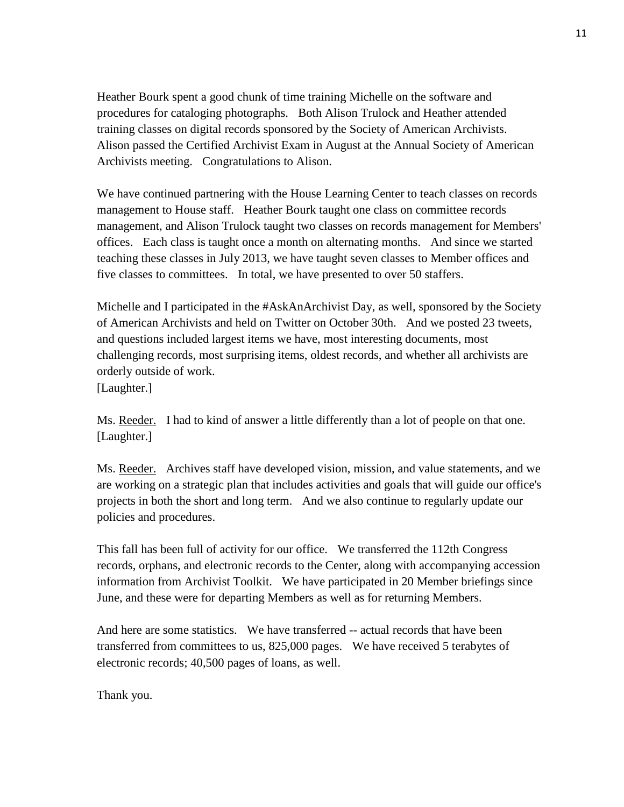Heather Bourk spent a good chunk of time training Michelle on the software and procedures for cataloging photographs. Both Alison Trulock and Heather attended training classes on digital records sponsored by the Society of American Archivists. Alison passed the Certified Archivist Exam in August at the Annual Society of American Archivists meeting. Congratulations to Alison.

We have continued partnering with the House Learning Center to teach classes on records management to House staff. Heather Bourk taught one class on committee records management, and Alison Trulock taught two classes on records management for Members' offices. Each class is taught once a month on alternating months. And since we started teaching these classes in July 2013, we have taught seven classes to Member offices and five classes to committees. In total, we have presented to over 50 staffers.

Michelle and I participated in the #AskAnArchivist Day, as well, sponsored by the Society of American Archivists and held on Twitter on October 30th. And we posted 23 tweets, and questions included largest items we have, most interesting documents, most challenging records, most surprising items, oldest records, and whether all archivists are orderly outside of work.

[Laughter.]

Ms. Reeder. I had to kind of answer a little differently than a lot of people on that one. [Laughter.]

Ms. Reeder. Archives staff have developed vision, mission, and value statements, and we are working on a strategic plan that includes activities and goals that will guide our office's projects in both the short and long term. And we also continue to regularly update our policies and procedures.

This fall has been full of activity for our office. We transferred the 112th Congress records, orphans, and electronic records to the Center, along with accompanying accession information from Archivist Toolkit. We have participated in 20 Member briefings since June, and these were for departing Members as well as for returning Members.

And here are some statistics. We have transferred -- actual records that have been transferred from committees to us, 825,000 pages. We have received 5 terabytes of electronic records; 40,500 pages of loans, as well.

Thank you.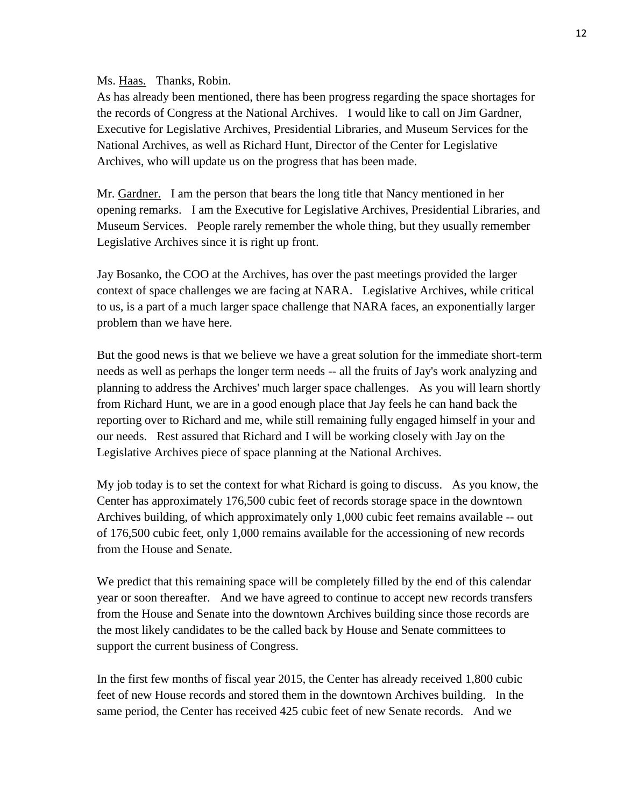Ms. Haas. Thanks, Robin.

As has already been mentioned, there has been progress regarding the space shortages for the records of Congress at the National Archives. I would like to call on Jim Gardner, Executive for Legislative Archives, Presidential Libraries, and Museum Services for the National Archives, as well as Richard Hunt, Director of the Center for Legislative Archives, who will update us on the progress that has been made.

Mr. Gardner. I am the person that bears the long title that Nancy mentioned in her opening remarks. I am the Executive for Legislative Archives, Presidential Libraries, and Museum Services. People rarely remember the whole thing, but they usually remember Legislative Archives since it is right up front.

Jay Bosanko, the COO at the Archives, has over the past meetings provided the larger context of space challenges we are facing at NARA. Legislative Archives, while critical to us, is a part of a much larger space challenge that NARA faces, an exponentially larger problem than we have here.

But the good news is that we believe we have a great solution for the immediate short-term needs as well as perhaps the longer term needs -- all the fruits of Jay's work analyzing and planning to address the Archives' much larger space challenges. As you will learn shortly from Richard Hunt, we are in a good enough place that Jay feels he can hand back the reporting over to Richard and me, while still remaining fully engaged himself in your and our needs. Rest assured that Richard and I will be working closely with Jay on the Legislative Archives piece of space planning at the National Archives.

My job today is to set the context for what Richard is going to discuss. As you know, the Center has approximately 176,500 cubic feet of records storage space in the downtown Archives building, of which approximately only 1,000 cubic feet remains available -- out of 176,500 cubic feet, only 1,000 remains available for the accessioning of new records from the House and Senate.

We predict that this remaining space will be completely filled by the end of this calendar year or soon thereafter. And we have agreed to continue to accept new records transfers from the House and Senate into the downtown Archives building since those records are the most likely candidates to be the called back by House and Senate committees to support the current business of Congress.

In the first few months of fiscal year 2015, the Center has already received 1,800 cubic feet of new House records and stored them in the downtown Archives building. In the same period, the Center has received 425 cubic feet of new Senate records. And we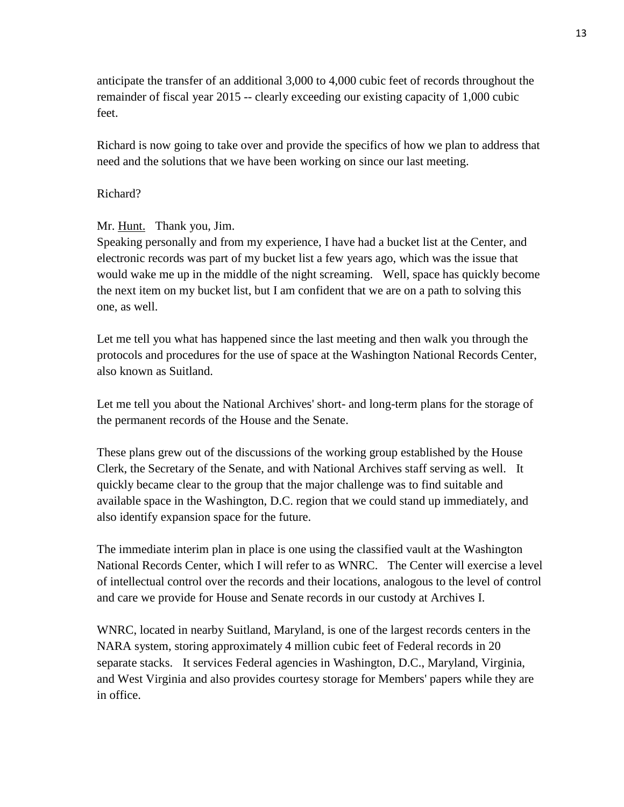anticipate the transfer of an additional 3,000 to 4,000 cubic feet of records throughout the remainder of fiscal year 2015 -- clearly exceeding our existing capacity of 1,000 cubic feet.

Richard is now going to take over and provide the specifics of how we plan to address that need and the solutions that we have been working on since our last meeting.

## Richard?

Mr. Hunt. Thank you, Jim.

Speaking personally and from my experience, I have had a bucket list at the Center, and electronic records was part of my bucket list a few years ago, which was the issue that would wake me up in the middle of the night screaming. Well, space has quickly become the next item on my bucket list, but I am confident that we are on a path to solving this one, as well.

Let me tell you what has happened since the last meeting and then walk you through the protocols and procedures for the use of space at the Washington National Records Center, also known as Suitland.

Let me tell you about the National Archives' short- and long-term plans for the storage of the permanent records of the House and the Senate.

These plans grew out of the discussions of the working group established by the House Clerk, the Secretary of the Senate, and with National Archives staff serving as well. It quickly became clear to the group that the major challenge was to find suitable and available space in the Washington, D.C. region that we could stand up immediately, and also identify expansion space for the future.

The immediate interim plan in place is one using the classified vault at the Washington National Records Center, which I will refer to as WNRC. The Center will exercise a level of intellectual control over the records and their locations, analogous to the level of control and care we provide for House and Senate records in our custody at Archives I.

WNRC, located in nearby Suitland, Maryland, is one of the largest records centers in the NARA system, storing approximately 4 million cubic feet of Federal records in 20 separate stacks. It services Federal agencies in Washington, D.C., Maryland, Virginia, and West Virginia and also provides courtesy storage for Members' papers while they are in office.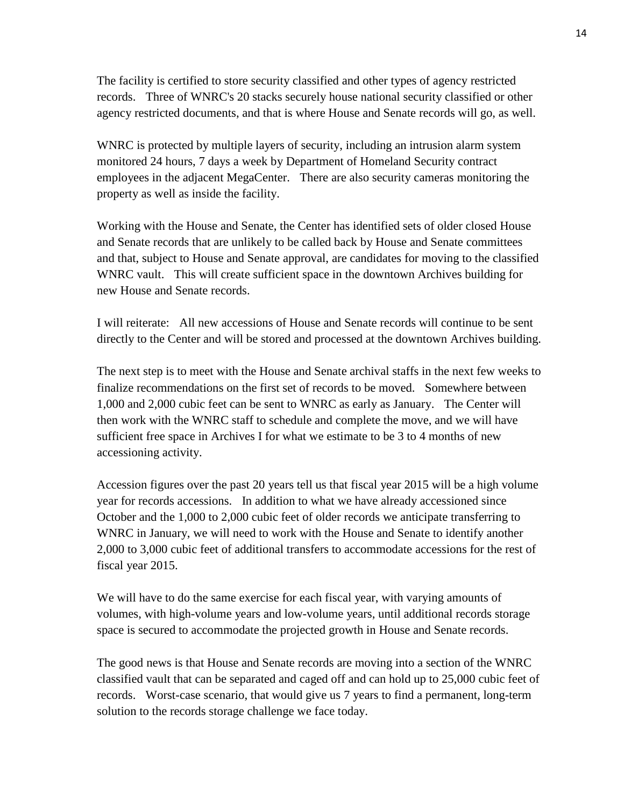The facility is certified to store security classified and other types of agency restricted records. Three of WNRC's 20 stacks securely house national security classified or other agency restricted documents, and that is where House and Senate records will go, as well.

WNRC is protected by multiple layers of security, including an intrusion alarm system monitored 24 hours, 7 days a week by Department of Homeland Security contract employees in the adjacent MegaCenter. There are also security cameras monitoring the property as well as inside the facility.

Working with the House and Senate, the Center has identified sets of older closed House and Senate records that are unlikely to be called back by House and Senate committees and that, subject to House and Senate approval, are candidates for moving to the classified WNRC vault. This will create sufficient space in the downtown Archives building for new House and Senate records.

I will reiterate: All new accessions of House and Senate records will continue to be sent directly to the Center and will be stored and processed at the downtown Archives building.

The next step is to meet with the House and Senate archival staffs in the next few weeks to finalize recommendations on the first set of records to be moved. Somewhere between 1,000 and 2,000 cubic feet can be sent to WNRC as early as January. The Center will then work with the WNRC staff to schedule and complete the move, and we will have sufficient free space in Archives I for what we estimate to be 3 to 4 months of new accessioning activity.

Accession figures over the past 20 years tell us that fiscal year 2015 will be a high volume year for records accessions. In addition to what we have already accessioned since October and the 1,000 to 2,000 cubic feet of older records we anticipate transferring to WNRC in January, we will need to work with the House and Senate to identify another 2,000 to 3,000 cubic feet of additional transfers to accommodate accessions for the rest of fiscal year 2015.

We will have to do the same exercise for each fiscal year, with varying amounts of volumes, with high-volume years and low-volume years, until additional records storage space is secured to accommodate the projected growth in House and Senate records.

The good news is that House and Senate records are moving into a section of the WNRC classified vault that can be separated and caged off and can hold up to 25,000 cubic feet of records. Worst-case scenario, that would give us 7 years to find a permanent, long-term solution to the records storage challenge we face today.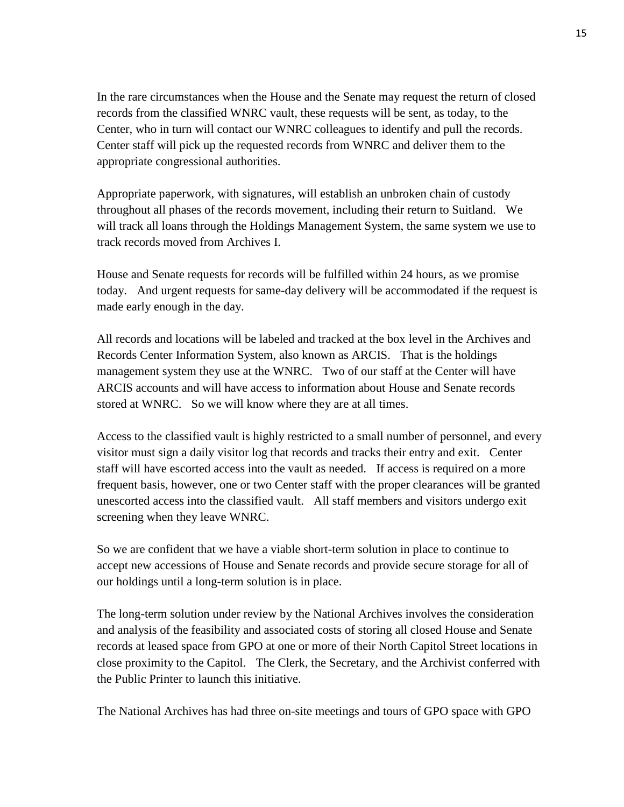In the rare circumstances when the House and the Senate may request the return of closed records from the classified WNRC vault, these requests will be sent, as today, to the Center, who in turn will contact our WNRC colleagues to identify and pull the records. Center staff will pick up the requested records from WNRC and deliver them to the appropriate congressional authorities.

Appropriate paperwork, with signatures, will establish an unbroken chain of custody throughout all phases of the records movement, including their return to Suitland. We will track all loans through the Holdings Management System, the same system we use to track records moved from Archives I.

House and Senate requests for records will be fulfilled within 24 hours, as we promise today. And urgent requests for same-day delivery will be accommodated if the request is made early enough in the day.

All records and locations will be labeled and tracked at the box level in the Archives and Records Center Information System, also known as ARCIS. That is the holdings management system they use at the WNRC. Two of our staff at the Center will have ARCIS accounts and will have access to information about House and Senate records stored at WNRC. So we will know where they are at all times.

Access to the classified vault is highly restricted to a small number of personnel, and every visitor must sign a daily visitor log that records and tracks their entry and exit. Center staff will have escorted access into the vault as needed. If access is required on a more frequent basis, however, one or two Center staff with the proper clearances will be granted unescorted access into the classified vault. All staff members and visitors undergo exit screening when they leave WNRC.

So we are confident that we have a viable short-term solution in place to continue to accept new accessions of House and Senate records and provide secure storage for all of our holdings until a long-term solution is in place.

The long-term solution under review by the National Archives involves the consideration and analysis of the feasibility and associated costs of storing all closed House and Senate records at leased space from GPO at one or more of their North Capitol Street locations in close proximity to the Capitol. The Clerk, the Secretary, and the Archivist conferred with the Public Printer to launch this initiative.

The National Archives has had three on-site meetings and tours of GPO space with GPO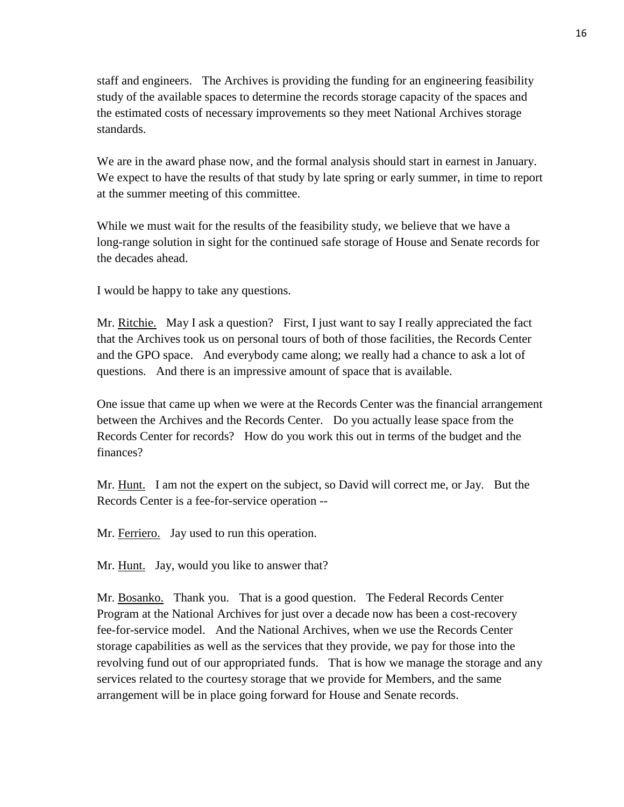staff and engineers. The Archives is providing the funding for an engineering feasibility study of the available spaces to determine the records storage capacity of the spaces and the estimated costs of necessary improvements so they meet National Archives storage standards.

We are in the award phase now, and the formal analysis should start in earnest in January. We expect to have the results of that study by late spring or early summer, in time to report at the summer meeting of this committee.

While we must wait for the results of the feasibility study, we believe that we have a long-range solution in sight for the continued safe storage of House and Senate records for the decades ahead.

I would be happy to take any questions.

Mr. Ritchie. May I ask a question? First, I just want to say I really appreciated the fact that the Archives took us on personal tours of both of those facilities, the Records Center and the GPO space. And everybody came along; we really had a chance to ask a lot of questions. And there is an impressive amount of space that is available.

One issue that came up when we were at the Records Center was the financial arrangement between the Archives and the Records Center. Do you actually lease space from the Records Center for records? How do you work this out in terms of the budget and the finances?

Mr. Hunt. I am not the expert on the subject, so David will correct me, or Jay. But the Records Center is a fee-for-service operation --

Mr. Ferriero. Jay used to run this operation.

Mr. Hunt. Jay, would you like to answer that?

Mr. Bosanko. Thank you. That is a good question. The Federal Records Center Program at the National Archives for just over a decade now has been a cost-recovery fee-for-service model. And the National Archives, when we use the Records Center storage capabilities as well as the services that they provide, we pay for those into the revolving fund out of our appropriated funds. That is how we manage the storage and any services related to the courtesy storage that we provide for Members, and the same arrangement will be in place going forward for House and Senate records.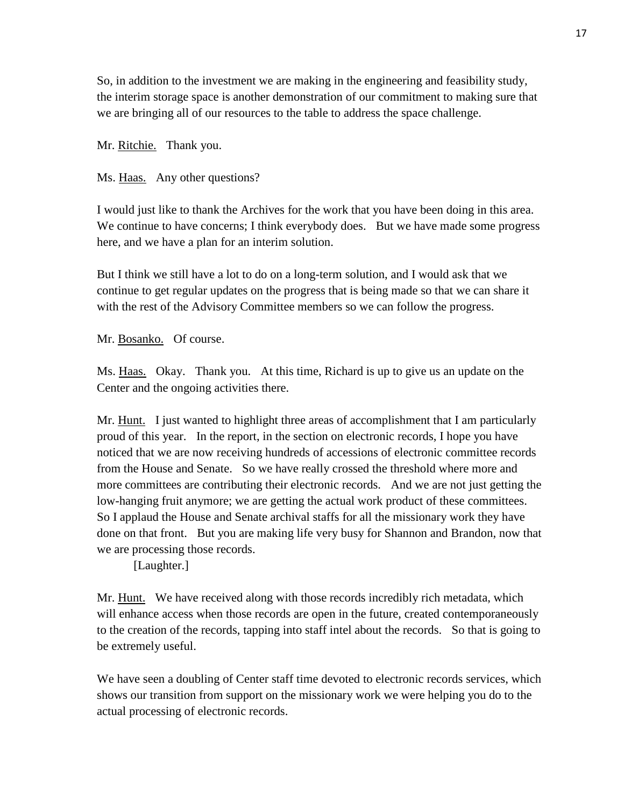So, in addition to the investment we are making in the engineering and feasibility study, the interim storage space is another demonstration of our commitment to making sure that we are bringing all of our resources to the table to address the space challenge.

Mr. Ritchie. Thank you.

Ms. Haas. Any other questions?

I would just like to thank the Archives for the work that you have been doing in this area. We continue to have concerns; I think everybody does. But we have made some progress here, and we have a plan for an interim solution.

But I think we still have a lot to do on a long-term solution, and I would ask that we continue to get regular updates on the progress that is being made so that we can share it with the rest of the Advisory Committee members so we can follow the progress.

Mr. Bosanko. Of course.

Ms. Haas. Okay. Thank you. At this time, Richard is up to give us an update on the Center and the ongoing activities there.

Mr. Hunt. I just wanted to highlight three areas of accomplishment that I am particularly proud of this year. In the report, in the section on electronic records, I hope you have noticed that we are now receiving hundreds of accessions of electronic committee records from the House and Senate. So we have really crossed the threshold where more and more committees are contributing their electronic records. And we are not just getting the low-hanging fruit anymore; we are getting the actual work product of these committees. So I applaud the House and Senate archival staffs for all the missionary work they have done on that front. But you are making life very busy for Shannon and Brandon, now that we are processing those records.

[Laughter.]

Mr. Hunt. We have received along with those records incredibly rich metadata, which will enhance access when those records are open in the future, created contemporaneously to the creation of the records, tapping into staff intel about the records. So that is going to be extremely useful.

We have seen a doubling of Center staff time devoted to electronic records services, which shows our transition from support on the missionary work we were helping you do to the actual processing of electronic records.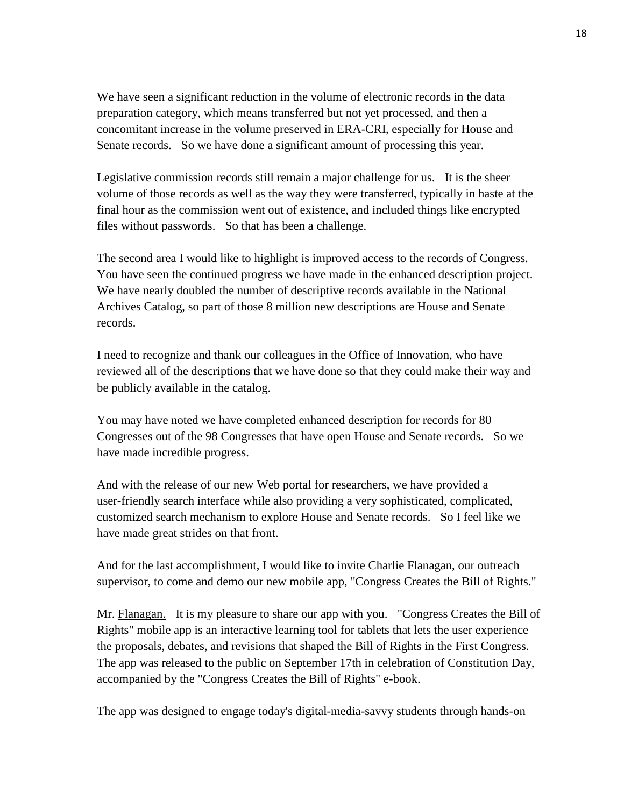We have seen a significant reduction in the volume of electronic records in the data preparation category, which means transferred but not yet processed, and then a concomitant increase in the volume preserved in ERA-CRI, especially for House and Senate records. So we have done a significant amount of processing this year.

Legislative commission records still remain a major challenge for us. It is the sheer volume of those records as well as the way they were transferred, typically in haste at the final hour as the commission went out of existence, and included things like encrypted files without passwords. So that has been a challenge.

The second area I would like to highlight is improved access to the records of Congress. You have seen the continued progress we have made in the enhanced description project. We have nearly doubled the number of descriptive records available in the National Archives Catalog, so part of those 8 million new descriptions are House and Senate records.

I need to recognize and thank our colleagues in the Office of Innovation, who have reviewed all of the descriptions that we have done so that they could make their way and be publicly available in the catalog.

You may have noted we have completed enhanced description for records for 80 Congresses out of the 98 Congresses that have open House and Senate records. So we have made incredible progress.

And with the release of our new Web portal for researchers, we have provided a user-friendly search interface while also providing a very sophisticated, complicated, customized search mechanism to explore House and Senate records. So I feel like we have made great strides on that front.

And for the last accomplishment, I would like to invite Charlie Flanagan, our outreach supervisor, to come and demo our new mobile app, "Congress Creates the Bill of Rights."

Mr. Flanagan. It is my pleasure to share our app with you. "Congress Creates the Bill of Rights" mobile app is an interactive learning tool for tablets that lets the user experience the proposals, debates, and revisions that shaped the Bill of Rights in the First Congress. The app was released to the public on September 17th in celebration of Constitution Day, accompanied by the "Congress Creates the Bill of Rights" e-book.

The app was designed to engage today's digital-media-savvy students through hands-on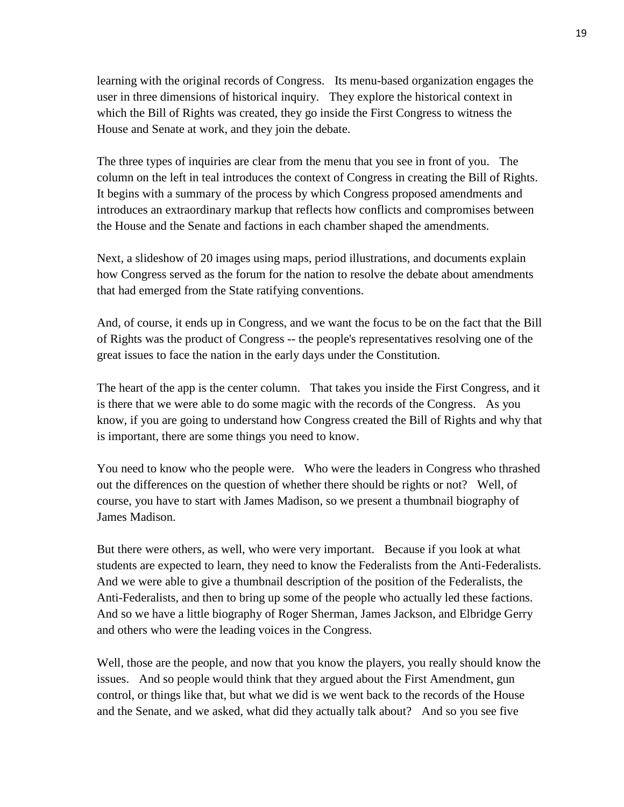learning with the original records of Congress. Its menu-based organization engages the user in three dimensions of historical inquiry. They explore the historical context in which the Bill of Rights was created, they go inside the First Congress to witness the House and Senate at work, and they join the debate.

The three types of inquiries are clear from the menu that you see in front of you. The column on the left in teal introduces the context of Congress in creating the Bill of Rights. It begins with a summary of the process by which Congress proposed amendments and introduces an extraordinary markup that reflects how conflicts and compromises between the House and the Senate and factions in each chamber shaped the amendments.

Next, a slideshow of 20 images using maps, period illustrations, and documents explain how Congress served as the forum for the nation to resolve the debate about amendments that had emerged from the State ratifying conventions.

And, of course, it ends up in Congress, and we want the focus to be on the fact that the Bill of Rights was the product of Congress -- the people's representatives resolving one of the great issues to face the nation in the early days under the Constitution.

The heart of the app is the center column. That takes you inside the First Congress, and it is there that we were able to do some magic with the records of the Congress. As you know, if you are going to understand how Congress created the Bill of Rights and why that is important, there are some things you need to know.

You need to know who the people were. Who were the leaders in Congress who thrashed out the differences on the question of whether there should be rights or not? Well, of course, you have to start with James Madison, so we present a thumbnail biography of James Madison.

But there were others, as well, who were very important. Because if you look at what students are expected to learn, they need to know the Federalists from the Anti-Federalists. And we were able to give a thumbnail description of the position of the Federalists, the Anti-Federalists, and then to bring up some of the people who actually led these factions. And so we have a little biography of Roger Sherman, James Jackson, and Elbridge Gerry and others who were the leading voices in the Congress.

Well, those are the people, and now that you know the players, you really should know the issues. And so people would think that they argued about the First Amendment, gun control, or things like that, but what we did is we went back to the records of the House and the Senate, and we asked, what did they actually talk about? And so you see five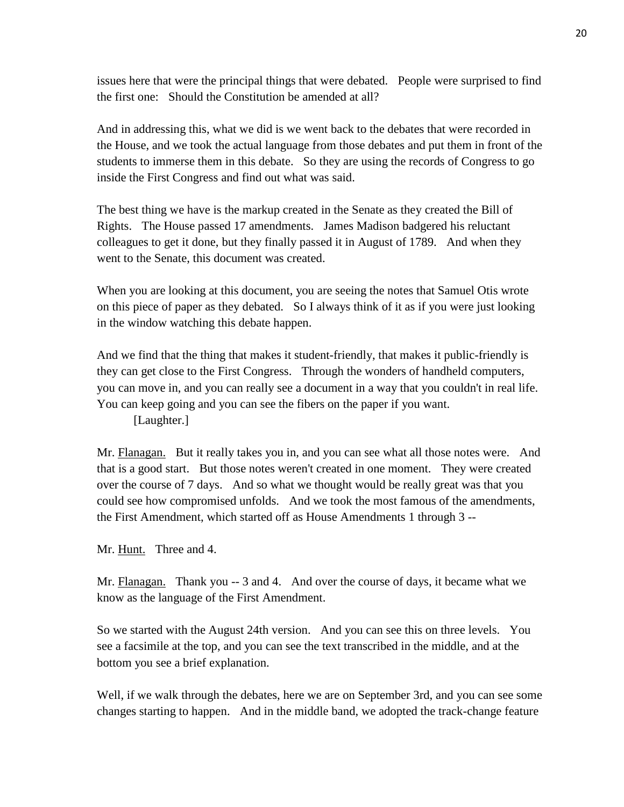issues here that were the principal things that were debated. People were surprised to find the first one: Should the Constitution be amended at all?

And in addressing this, what we did is we went back to the debates that were recorded in the House, and we took the actual language from those debates and put them in front of the students to immerse them in this debate. So they are using the records of Congress to go inside the First Congress and find out what was said.

The best thing we have is the markup created in the Senate as they created the Bill of Rights. The House passed 17 amendments. James Madison badgered his reluctant colleagues to get it done, but they finally passed it in August of 1789. And when they went to the Senate, this document was created.

When you are looking at this document, you are seeing the notes that Samuel Otis wrote on this piece of paper as they debated. So I always think of it as if you were just looking in the window watching this debate happen.

And we find that the thing that makes it student-friendly, that makes it public-friendly is they can get close to the First Congress. Through the wonders of handheld computers, you can move in, and you can really see a document in a way that you couldn't in real life. You can keep going and you can see the fibers on the paper if you want.

[Laughter.]

Mr. Flanagan. But it really takes you in, and you can see what all those notes were. And that is a good start. But those notes weren't created in one moment. They were created over the course of 7 days. And so what we thought would be really great was that you could see how compromised unfolds. And we took the most famous of the amendments, the First Amendment, which started off as House Amendments 1 through 3 --

Mr. Hunt. Three and 4.

Mr. Flanagan. Thank you -- 3 and 4. And over the course of days, it became what we know as the language of the First Amendment.

So we started with the August 24th version. And you can see this on three levels. You see a facsimile at the top, and you can see the text transcribed in the middle, and at the bottom you see a brief explanation.

Well, if we walk through the debates, here we are on September 3rd, and you can see some changes starting to happen. And in the middle band, we adopted the track-change feature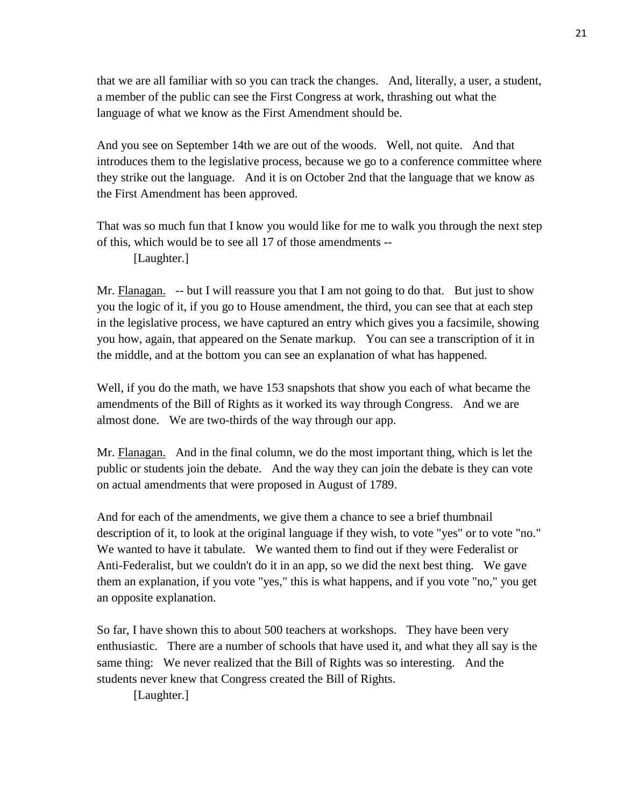that we are all familiar with so you can track the changes. And, literally, a user, a student, a member of the public can see the First Congress at work, thrashing out what the language of what we know as the First Amendment should be.

And you see on September 14th we are out of the woods. Well, not quite. And that introduces them to the legislative process, because we go to a conference committee where they strike out the language. And it is on October 2nd that the language that we know as the First Amendment has been approved.

That was so much fun that I know you would like for me to walk you through the next step of this, which would be to see all 17 of those amendments --

[Laughter.]

Mr. Flanagan. -- but I will reassure you that I am not going to do that. But just to show you the logic of it, if you go to House amendment, the third, you can see that at each step in the legislative process, we have captured an entry which gives you a facsimile, showing you how, again, that appeared on the Senate markup. You can see a transcription of it in the middle, and at the bottom you can see an explanation of what has happened.

Well, if you do the math, we have 153 snapshots that show you each of what became the amendments of the Bill of Rights as it worked its way through Congress. And we are almost done. We are two-thirds of the way through our app.

Mr. Flanagan. And in the final column, we do the most important thing, which is let the public or students join the debate. And the way they can join the debate is they can vote on actual amendments that were proposed in August of 1789.

And for each of the amendments, we give them a chance to see a brief thumbnail description of it, to look at the original language if they wish, to vote "yes" or to vote "no." We wanted to have it tabulate. We wanted them to find out if they were Federalist or Anti-Federalist, but we couldn't do it in an app, so we did the next best thing. We gave them an explanation, if you vote "yes," this is what happens, and if you vote "no," you get an opposite explanation.

So far, I have shown this to about 500 teachers at workshops. They have been very enthusiastic. There are a number of schools that have used it, and what they all say is the same thing: We never realized that the Bill of Rights was so interesting. And the students never knew that Congress created the Bill of Rights.

[Laughter.]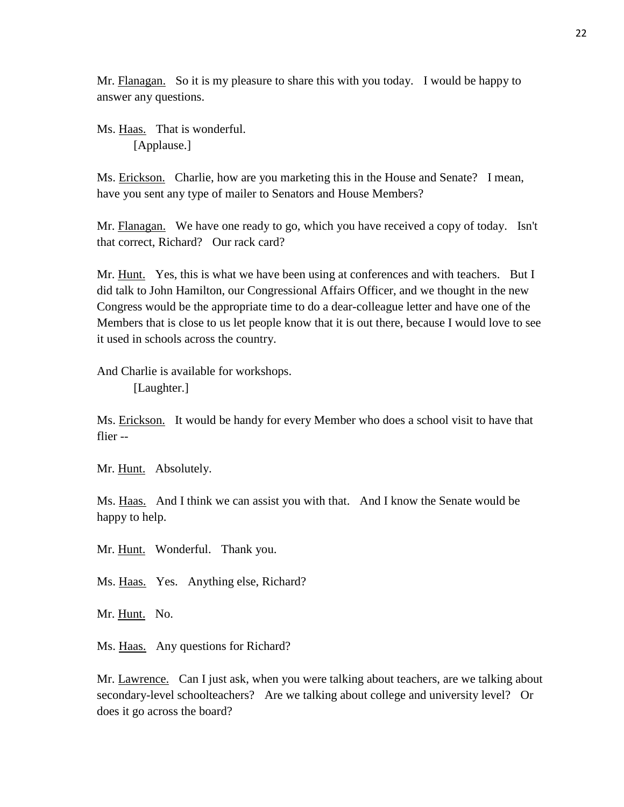Mr. Flanagan. So it is my pleasure to share this with you today. I would be happy to answer any questions.

Ms. Haas. That is wonderful. [Applause.]

Ms. Erickson. Charlie, how are you marketing this in the House and Senate? I mean, have you sent any type of mailer to Senators and House Members?

Mr. Flanagan. We have one ready to go, which you have received a copy of today. Isn't that correct, Richard? Our rack card?

Mr. Hunt. Yes, this is what we have been using at conferences and with teachers. But I did talk to John Hamilton, our Congressional Affairs Officer, and we thought in the new Congress would be the appropriate time to do a dear-colleague letter and have one of the Members that is close to us let people know that it is out there, because I would love to see it used in schools across the country.

And Charlie is available for workshops.

[Laughter.]

Ms. Erickson. It would be handy for every Member who does a school visit to have that flier --

Mr. Hunt. Absolutely.

Ms. Haas. And I think we can assist you with that. And I know the Senate would be happy to help.

Mr. Hunt. Wonderful. Thank you.

Ms. Haas. Yes. Anything else, Richard?

Mr. Hunt. No.

Ms. Haas. Any questions for Richard?

Mr. Lawrence. Can I just ask, when you were talking about teachers, are we talking about secondary-level schoolteachers? Are we talking about college and university level? Or does it go across the board?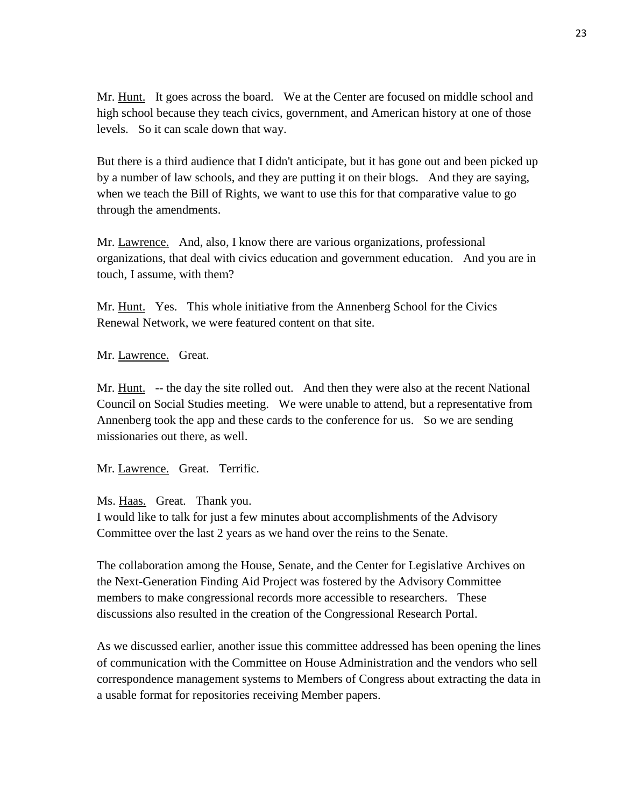Mr. Hunt. It goes across the board. We at the Center are focused on middle school and high school because they teach civics, government, and American history at one of those levels. So it can scale down that way.

But there is a third audience that I didn't anticipate, but it has gone out and been picked up by a number of law schools, and they are putting it on their blogs. And they are saying, when we teach the Bill of Rights, we want to use this for that comparative value to go through the amendments.

Mr. Lawrence. And, also, I know there are various organizations, professional organizations, that deal with civics education and government education. And you are in touch, I assume, with them?

Mr. Hunt. Yes. This whole initiative from the Annenberg School for the Civics Renewal Network, we were featured content on that site.

Mr. Lawrence. Great.

Mr. Hunt. -- the day the site rolled out. And then they were also at the recent National Council on Social Studies meeting. We were unable to attend, but a representative from Annenberg took the app and these cards to the conference for us. So we are sending missionaries out there, as well.

Mr. Lawrence. Great. Terrific.

Ms. Haas. Great. Thank you.

I would like to talk for just a few minutes about accomplishments of the Advisory Committee over the last 2 years as we hand over the reins to the Senate.

The collaboration among the House, Senate, and the Center for Legislative Archives on the Next-Generation Finding Aid Project was fostered by the Advisory Committee members to make congressional records more accessible to researchers. These discussions also resulted in the creation of the Congressional Research Portal.

As we discussed earlier, another issue this committee addressed has been opening the lines of communication with the Committee on House Administration and the vendors who sell correspondence management systems to Members of Congress about extracting the data in a usable format for repositories receiving Member papers.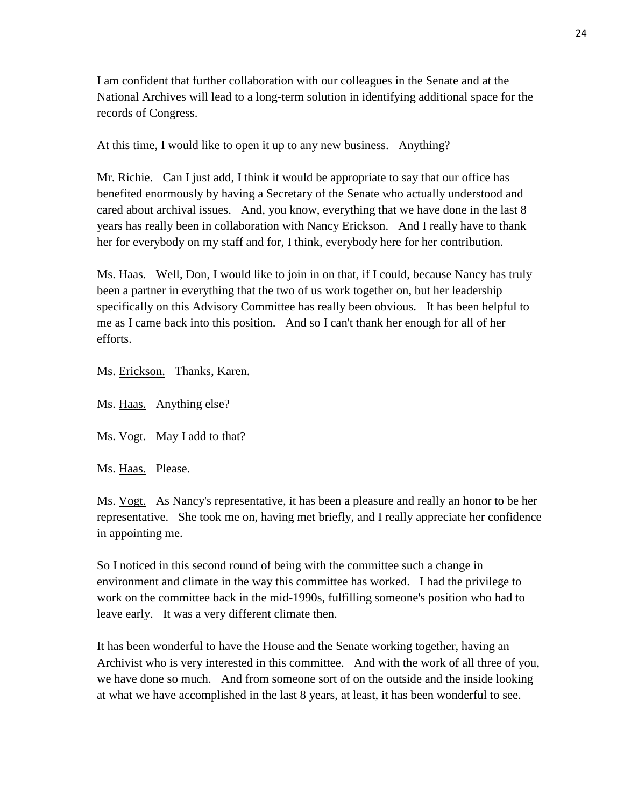I am confident that further collaboration with our colleagues in the Senate and at the National Archives will lead to a long-term solution in identifying additional space for the records of Congress.

At this time, I would like to open it up to any new business. Anything?

Mr. Richie. Can I just add, I think it would be appropriate to say that our office has benefited enormously by having a Secretary of the Senate who actually understood and cared about archival issues. And, you know, everything that we have done in the last 8 years has really been in collaboration with Nancy Erickson. And I really have to thank her for everybody on my staff and for, I think, everybody here for her contribution.

Ms. Haas. Well, Don, I would like to join in on that, if I could, because Nancy has truly been a partner in everything that the two of us work together on, but her leadership specifically on this Advisory Committee has really been obvious. It has been helpful to me as I came back into this position. And so I can't thank her enough for all of her efforts.

Ms. Erickson. Thanks, Karen.

- Ms. Haas. Anything else?
- Ms. Vogt. May I add to that?
- Ms. Haas. Please.

Ms. Vogt. As Nancy's representative, it has been a pleasure and really an honor to be her representative. She took me on, having met briefly, and I really appreciate her confidence in appointing me.

So I noticed in this second round of being with the committee such a change in environment and climate in the way this committee has worked. I had the privilege to work on the committee back in the mid-1990s, fulfilling someone's position who had to leave early. It was a very different climate then.

It has been wonderful to have the House and the Senate working together, having an Archivist who is very interested in this committee. And with the work of all three of you, we have done so much. And from someone sort of on the outside and the inside looking at what we have accomplished in the last 8 years, at least, it has been wonderful to see.